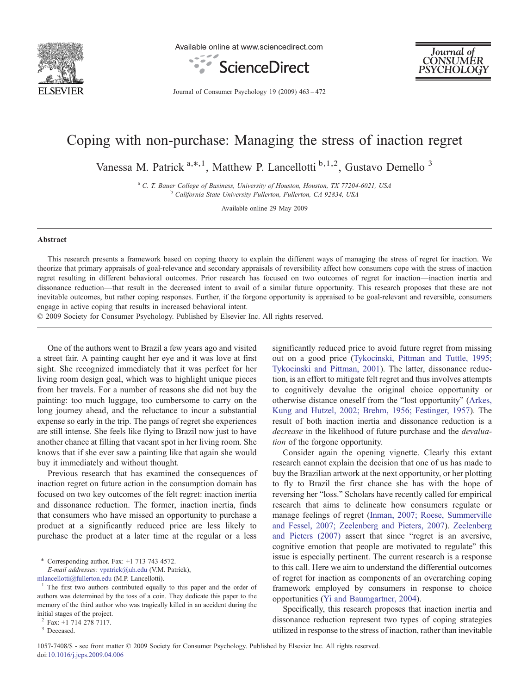

Available online at www.sciencedirect.com





Journal of Consumer Psychology 19 (2009) 463–472

# Coping with non-purchase: Managing the stress of inaction regret

Vanessa M. Patrick <sup>a,\*,1</sup>, Matthew P. Lancellotti <sup>b,1,2</sup>, Gustavo Demello<sup>3</sup>

<sup>a</sup> C. T. Bauer College of Business, University of Houston, Houston, TX 77204-6021, USA<br><sup>b</sup> California State University Fullerton, Fullerton, CA 92834, USA

Available online 29 May 2009

#### Abstract

This research presents a framework based on coping theory to explain the different ways of managing the stress of regret for inaction. We theorize that primary appraisals of goal-relevance and secondary appraisals of reversibility affect how consumers cope with the stress of inaction regret resulting in different behavioral outcomes. Prior research has focused on two outcomes of regret for inaction—inaction inertia and dissonance reduction—that result in the decreased intent to avail of a similar future opportunity. This research proposes that these are not inevitable outcomes, but rather coping responses. Further, if the forgone opportunity is appraised to be goal-relevant and reversible, consumers engage in active coping that results in increased behavioral intent.

© 2009 Society for Consumer Psychology. Published by Elsevier Inc. All rights reserved.

One of the authors went to Brazil a few years ago and visited a street fair. A painting caught her eye and it was love at first sight. She recognized immediately that it was perfect for her living room design goal, which was to highlight unique pieces from her travels. For a number of reasons she did not buy the painting: too much luggage, too cumbersome to carry on the long journey ahead, and the reluctance to incur a substantial expense so early in the trip. The pangs of regret she experiences are still intense. She feels like flying to Brazil now just to have another chance at filling that vacant spot in her living room. She knows that if she ever saw a painting like that again she would buy it immediately and without thought.

Previous research that has examined the consequences of inaction regret on future action in the consumption domain has focused on two key outcomes of the felt regret: inaction inertia and dissonance reduction. The former, inaction inertia, finds that consumers who have missed an opportunity to purchase a product at a significantly reduced price are less likely to purchase the product at a later time at the regular or a less

⁎ Corresponding author. Fax: +1 713 743 4572. E-mail addresses: [vpatrick@uh.edu](mailto:vpatrick@uh.edu) (V.M. Patrick),

significantly reduced price to avoid future regret from missing out on a good price [\(Tykocinski, Pittman and Tuttle, 1995;](#page-9-0) [Tykocinski and Pittman, 2001\)](#page-9-0). The latter, dissonance reduction, is an effort to mitigate felt regret and thus involves attempts to cognitively devalue the original choice opportunity or otherwise distance oneself from the "lost opportunity" [\(Arkes,](#page-9-0) [Kung and Hutzel, 2002; Brehm, 1956; Festinger, 1957\)](#page-9-0). The result of both inaction inertia and dissonance reduction is a decrease in the likelihood of future purchase and the *devalua*tion of the forgone opportunity.

Consider again the opening vignette. Clearly this extant research cannot explain the decision that one of us has made to buy the Brazilian artwork at the next opportunity, or her plotting to fly to Brazil the first chance she has with the hope of reversing her "loss." Scholars have recently called for empirical research that aims to delineate how consumers regulate or manage feelings of regret [\(Inman, 2007; Roese, Summerville](#page-9-0) [and Fessel, 2007; Zeelenberg and Pieters, 2007](#page-9-0)). [Zeelenberg](#page-9-0) [and Pieters \(2007\)](#page-9-0) assert that since "regret is an aversive, cognitive emotion that people are motivated to regulate" this issue is especially pertinent. The current research is a response to this call. Here we aim to understand the differential outcomes of regret for inaction as components of an overarching coping framework employed by consumers in response to choice opportunities ([Yi and Baumgartner, 2004](#page-9-0)).

Specifically, this research proposes that inaction inertia and dissonance reduction represent two types of coping strategies utilized in response to the stress of inaction, rather than inevitable

[mlancellotti@fullerton.edu](mailto:mlancellotti@fullerton.edu) (M.P. Lancellotti).  $\frac{1}{1}$  The first two authors contributed equally to this paper and the order of authors was determined by the toss of a coin. They dedicate this paper to the memory of the third author who was tragically killed in an accident during the initial stages of the project.

 $^{2}$  Fax: +1 714 278 7117.<br><sup>3</sup> Deceased.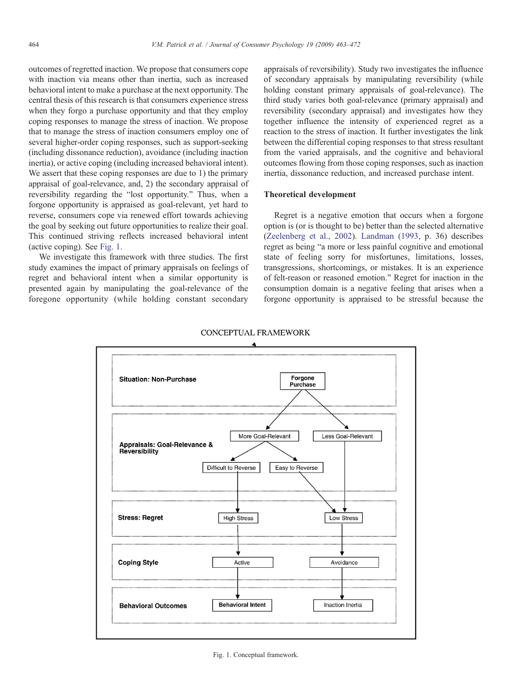<span id="page-1-0"></span>outcomes of regretted inaction. We propose that consumers cope with inaction via means other than inertia, such as increased behavioral intent to make a purchase at the next opportunity. The central thesis of this research is that consumers experience stress when they forgo a purchase opportunity and that they employ coping responses to manage the stress of inaction. We propose that to manage the stress of inaction consumers employ one of several higher-order coping responses, such as support-seeking (including dissonance reduction), avoidance (including inaction inertia), or active coping (including increased behavioral intent). We assert that these coping responses are due to 1) the primary appraisal of goal-relevance, and, 2) the secondary appraisal of reversibility regarding the "lost opportunity." Thus, when a forgone opportunity is appraised as goal-relevant, yet hard to reverse, consumers cope via renewed effort towards achieving the goal by seeking out future opportunities to realize their goal. This continued striving reflects increased behavioral intent (active coping). See Fig. 1.

We investigate this framework with three studies. The first study examines the impact of primary appraisals on feelings of regret and behavioral intent when a similar opportunity is presented again by manipulating the goal-relevance of the foregone opportunity (while holding constant secondary appraisals of reversibility). Study two investigates the influence of secondary appraisals by manipulating reversibility (while holding constant primary appraisals of goal-relevance). The third study varies both goal-relevance (primary appraisal) and reversibility (secondary appraisal) and investigates how they together influence the intensity of experienced regret as a reaction to the stress of inaction. It further investigates the link between the differential coping responses to that stress resultant from the varied appraisals, and the cognitive and behavioral outcomes flowing from those coping responses, such as inaction inertia, dissonance reduction, and increased purchase intent.

## Theoretical development

Regret is a negative emotion that occurs when a forgone option is (or is thought to be) better than the selected alternative ([Zeelenberg et al., 2002\)](#page-9-0). [Landman \(1993,](#page-9-0) p. 36) describes regret as being "a more or less painful cognitive and emotional state of feeling sorry for misfortunes, limitations, losses, transgressions, shortcomings, or mistakes. It is an experience of felt-reason or reasoned emotion." Regret for inaction in the consumption domain is a negative feeling that arises when a forgone opportunity is appraised to be stressful because the



**CONCEPTUAL FRAMEWORK**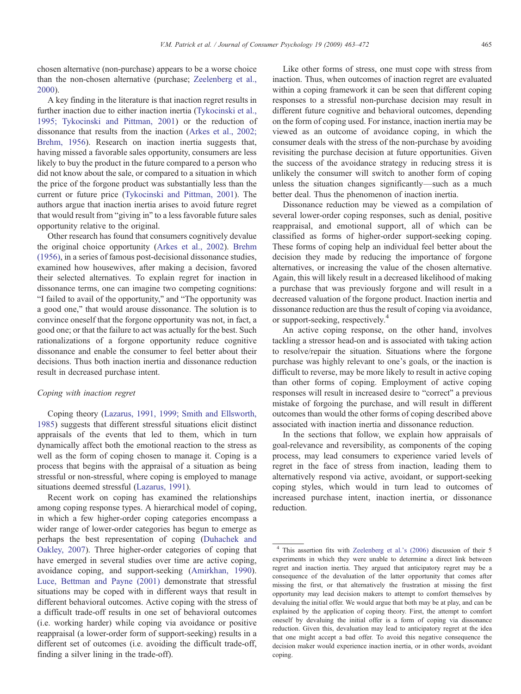chosen alternative (non-purchase) appears to be a worse choice than the non-chosen alternative (purchase; [Zeelenberg et al.,](#page-9-0) [2000](#page-9-0)).

A key finding in the literature is that inaction regret results in further inaction due to either inaction inertia ([Tykocinski et al.,](#page-9-0) [1995; Tykocinski and Pittman, 2001\)](#page-9-0) or the reduction of dissonance that results from the inaction [\(Arkes et al., 2002;](#page-9-0) [Brehm, 1956\)](#page-9-0). Research on inaction inertia suggests that, having missed a favorable sales opportunity, consumers are less likely to buy the product in the future compared to a person who did not know about the sale, or compared to a situation in which the price of the forgone product was substantially less than the current or future price ([Tykocinski and Pittman, 2001\)](#page-9-0). The authors argue that inaction inertia arises to avoid future regret that would result from "giving in" to a less favorable future sales opportunity relative to the original.

Other research has found that consumers cognitively devalue the original choice opportunity [\(Arkes et al., 2002](#page-9-0)). [Brehm](#page-9-0) [\(1956\),](#page-9-0) in a series of famous post-decisional dissonance studies, examined how housewives, after making a decision, favored their selected alternatives. To explain regret for inaction in dissonance terms, one can imagine two competing cognitions: "I failed to avail of the opportunity," and "The opportunity was a good one," that would arouse dissonance. The solution is to convince oneself that the forgone opportunity was not, in fact, a good one; or that the failure to act was actually for the best. Such rationalizations of a forgone opportunity reduce cognitive dissonance and enable the consumer to feel better about their decisions. Thus both inaction inertia and dissonance reduction result in decreased purchase intent.

# Coping with inaction regret

Coping theory [\(Lazarus, 1991, 1999; Smith and Ellsworth,](#page-9-0) [1985](#page-9-0)) suggests that different stressful situations elicit distinct appraisals of the events that led to them, which in turn dynamically affect both the emotional reaction to the stress as well as the form of coping chosen to manage it. Coping is a process that begins with the appraisal of a situation as being stressful or non-stressful, where coping is employed to manage situations deemed stressful [\(Lazarus, 1991\)](#page-9-0).

Recent work on coping has examined the relationships among coping response types. A hierarchical model of coping, in which a few higher-order coping categories encompass a wider range of lower-order categories has begun to emerge as perhaps the best representation of coping ([Duhachek and](#page-9-0) [Oakley, 2007\)](#page-9-0). Three higher-order categories of coping that have emerged in several studies over time are active coping, avoidance coping, and support-seeking ([Amirkhan, 1990\)](#page-9-0). [Luce, Bettman and Payne \(2001\)](#page-9-0) demonstrate that stressful situations may be coped with in different ways that result in different behavioral outcomes. Active coping with the stress of a difficult trade-off results in one set of behavioral outcomes (i.e. working harder) while coping via avoidance or positive reappraisal (a lower-order form of support-seeking) results in a different set of outcomes (i.e. avoiding the difficult trade-off, finding a silver lining in the trade-off).

Like other forms of stress, one must cope with stress from inaction. Thus, when outcomes of inaction regret are evaluated within a coping framework it can be seen that different coping responses to a stressful non-purchase decision may result in different future cognitive and behavioral outcomes, depending on the form of coping used. For instance, inaction inertia may be viewed as an outcome of avoidance coping, in which the consumer deals with the stress of the non-purchase by avoiding revisiting the purchase decision at future opportunities. Given the success of the avoidance strategy in reducing stress it is unlikely the consumer will switch to another form of coping unless the situation changes significantly—such as a much better deal. Thus the phenomenon of inaction inertia.

Dissonance reduction may be viewed as a compilation of several lower-order coping responses, such as denial, positive reappraisal, and emotional support, all of which can be classified as forms of higher-order support-seeking coping. These forms of coping help an individual feel better about the decision they made by reducing the importance of forgone alternatives, or increasing the value of the chosen alternative. Again, this will likely result in a decreased likelihood of making a purchase that was previously forgone and will result in a decreased valuation of the forgone product. Inaction inertia and dissonance reduction are thus the result of coping via avoidance, or support-seeking, respectively.<sup>4</sup>

An active coping response, on the other hand, involves tackling a stressor head-on and is associated with taking action to resolve/repair the situation. Situations where the forgone purchase was highly relevant to one's goals, or the inaction is difficult to reverse, may be more likely to result in active coping than other forms of coping. Employment of active coping responses will result in increased desire to "correct" a previous mistake of forgoing the purchase, and will result in different outcomes than would the other forms of coping described above associated with inaction inertia and dissonance reduction.

In the sections that follow, we explain how appraisals of goal-relevance and reversibility, as components of the coping process, may lead consumers to experience varied levels of regret in the face of stress from inaction, leading them to alternatively respond via active, avoidant, or support-seeking coping styles, which would in turn lead to outcomes of increased purchase intent, inaction inertia, or dissonance reduction.

<sup>4</sup> This assertion fits with [Zeelenberg et al.'s \(2006\)](#page-9-0) discussion of their 5 experiments in which they were unable to determine a direct link between regret and inaction inertia. They argued that anticipatory regret may be a consequence of the devaluation of the latter opportunity that comes after missing the first, or that alternatively the frustration at missing the first opportunity may lead decision makers to attempt to comfort themselves by devaluing the initial offer. We would argue that both may be at play, and can be explained by the application of coping theory. First, the attempt to comfort oneself by devaluing the initial offer is a form of coping via dissonance reduction. Given this, devaluation may lead to anticipatory regret at the idea that one might accept a bad offer. To avoid this negative consequence the decision maker would experience inaction inertia, or in other words, avoidant coping.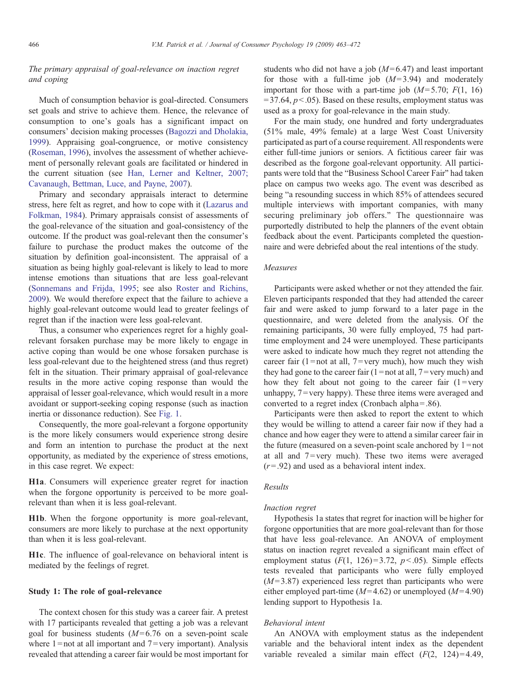# The primary appraisal of goal-relevance on inaction regret and coping

Much of consumption behavior is goal-directed. Consumers set goals and strive to achieve them. Hence, the relevance of consumption to one's goals has a significant impact on consumers' decision making processes ([Bagozzi and Dholakia,](#page-9-0) [1999\)](#page-9-0). Appraising goal-congruence, or motive consistency ([Roseman, 1996](#page-9-0)), involves the assessment of whether achievement of personally relevant goals are facilitated or hindered in the current situation (see [Han, Lerner and Keltner, 2007;](#page-9-0) [Cavanaugh, Bettman, Luce, and Payne, 2007](#page-9-0)).

Primary and secondary appraisals interact to determine stress, here felt as regret, and how to cope with it [\(Lazarus and](#page-9-0) [Folkman, 1984\)](#page-9-0). Primary appraisals consist of assessments of the goal-relevance of the situation and goal-consistency of the outcome. If the product was goal-relevant then the consumer's failure to purchase the product makes the outcome of the situation by definition goal-inconsistent. The appraisal of a situation as being highly goal-relevant is likely to lead to more intense emotions than situations that are less goal-relevant ([Sonnemans and Frijda, 1995](#page-9-0); see also [Roster and Richins,](#page-9-0) [2009\)](#page-9-0). We would therefore expect that the failure to achieve a highly goal-relevant outcome would lead to greater feelings of regret than if the inaction were less goal-relevant.

Thus, a consumer who experiences regret for a highly goalrelevant forsaken purchase may be more likely to engage in active coping than would be one whose forsaken purchase is less goal-relevant due to the heightened stress (and thus regret) felt in the situation. Their primary appraisal of goal-relevance results in the more active coping response than would the appraisal of lesser goal-relevance, which would result in a more avoidant or support-seeking coping response (such as inaction inertia or dissonance reduction). See [Fig. 1](#page-1-0).

Consequently, the more goal-relevant a forgone opportunity is the more likely consumers would experience strong desire and form an intention to purchase the product at the next opportunity, as mediated by the experience of stress emotions, in this case regret. We expect:

H1a. Consumers will experience greater regret for inaction when the forgone opportunity is perceived to be more goalrelevant than when it is less goal-relevant.

H1b. When the forgone opportunity is more goal-relevant, consumers are more likely to purchase at the next opportunity than when it is less goal-relevant.

H1c. The influence of goal-relevance on behavioral intent is mediated by the feelings of regret.

## Study 1: The role of goal-relevance

The context chosen for this study was a career fair. A pretest with 17 participants revealed that getting a job was a relevant goal for business students  $(M=6.76$  on a seven-point scale where  $1 =$  not at all important and  $7 =$ very important). Analysis revealed that attending a career fair would be most important for students who did not have a job  $(M= 6.47)$  and least important for those with a full-time job  $(M=3.94)$  and moderately important for those with a part-time job  $(M=5.70; F(1, 16))$  $= 37.64$ ,  $p < .05$ ). Based on these results, employment status was used as a proxy for goal-relevance in the main study.

For the main study, one hundred and forty undergraduates (51% male, 49% female) at a large West Coast University participated as part of a course requirement. All respondents were either full-time juniors or seniors. A fictitious career fair was described as the forgone goal-relevant opportunity. All participants were told that the "Business School Career Fair" had taken place on campus two weeks ago. The event was described as being "a resounding success in which 85% of attendees secured multiple interviews with important companies, with many securing preliminary job offers." The questionnaire was purportedly distributed to help the planners of the event obtain feedback about the event. Participants completed the questionnaire and were debriefed about the real intentions of the study.

## Measures

Participants were asked whether or not they attended the fair. Eleven participants responded that they had attended the career fair and were asked to jump forward to a later page in the questionnaire, and were deleted from the analysis. Of the remaining participants, 30 were fully employed, 75 had parttime employment and 24 were unemployed. These participants were asked to indicate how much they regret not attending the career fair (1=not at all, 7=very much), how much they wish they had gone to the career fair  $(1 = not at all, 7 = very much)$  and how they felt about not going to the career fair  $(1 = \text{very})$ unhappy, 7 = very happy). These three items were averaged and converted to a regret index (Cronbach alpha = .86).

Participants were then asked to report the extent to which they would be willing to attend a career fair now if they had a chance and how eager they were to attend a similar career fair in the future (measured on a seven-point scale anchored by  $1 = not$ at all and  $7 = \text{very much}$ . These two items were averaged  $(r=.92)$  and used as a behavioral intent index.

# Results

## Inaction regret

Hypothesis 1a states that regret for inaction will be higher for forgone opportunities that are more goal-relevant than for those that have less goal-relevance. An ANOVA of employment status on inaction regret revealed a significant main effect of employment status  $(F(1, 126)=3.72, p<.05)$ . Simple effects tests revealed that participants who were fully employed  $(M=3.87)$  experienced less regret than participants who were either employed part-time  $(M=4.62)$  or unemployed  $(M=4.90)$ lending support to Hypothesis 1a.

#### Behavioral intent

An ANOVA with employment status as the independent variable and the behavioral intent index as the dependent variable revealed a similar main effect  $(F(2, 124)=4.49)$ ,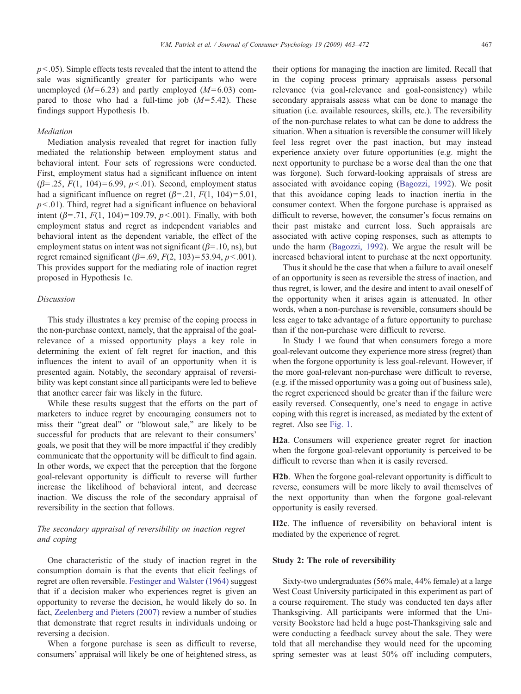$p<0.05$ ). Simple effects tests revealed that the intent to attend the sale was significantly greater for participants who were unemployed  $(M= 6.23)$  and partly employed  $(M= 6.03)$  compared to those who had a full-time job  $(M=5.42)$ . These findings support Hypothesis 1b.

#### Mediation

Mediation analysis revealed that regret for inaction fully mediated the relationship between employment status and behavioral intent. Four sets of regressions were conducted. First, employment status had a significant influence on intent  $(\beta = .25, F(1, 104) = 6.99, p<.01)$ . Second, employment status had a significant influence on regret ( $\beta$ =.21,  $F(1, 104)$ =5.01,  $p<.01$ ). Third, regret had a significant influence on behavioral intent ( $\beta$ =.71,  $F(1, 104)$ =109.79,  $p$ <.001). Finally, with both employment status and regret as independent variables and behavioral intent as the dependent variable, the effect of the employment status on intent was not significant ( $\beta$ =.10, ns), but regret remained significant ( $\beta$ =.69,  $F(2, 103)$ =53.94,  $p$ <.001). This provides support for the mediating role of inaction regret proposed in Hypothesis 1c.

#### Discussion

This study illustrates a key premise of the coping process in the non-purchase context, namely, that the appraisal of the goalrelevance of a missed opportunity plays a key role in determining the extent of felt regret for inaction, and this influences the intent to avail of an opportunity when it is presented again. Notably, the secondary appraisal of reversibility was kept constant since all participants were led to believe that another career fair was likely in the future.

While these results suggest that the efforts on the part of marketers to induce regret by encouraging consumers not to miss their "great deal" or "blowout sale," are likely to be successful for products that are relevant to their consumers' goals, we posit that they will be more impactful if they credibly communicate that the opportunity will be difficult to find again. In other words, we expect that the perception that the forgone goal-relevant opportunity is difficult to reverse will further increase the likelihood of behavioral intent, and decrease inaction. We discuss the role of the secondary appraisal of reversibility in the section that follows.

# The secondary appraisal of reversibility on inaction regret and coping

One characteristic of the study of inaction regret in the consumption domain is that the events that elicit feelings of regret are often reversible. [Festinger and Walster \(1964\)](#page-9-0) suggest that if a decision maker who experiences regret is given an opportunity to reverse the decision, he would likely do so. In fact, [Zeelenberg and Pieters \(2007\)](#page-9-0) review a number of studies that demonstrate that regret results in individuals undoing or reversing a decision.

When a forgone purchase is seen as difficult to reverse, consumers' appraisal will likely be one of heightened stress, as their options for managing the inaction are limited. Recall that in the coping process primary appraisals assess personal relevance (via goal-relevance and goal-consistency) while secondary appraisals assess what can be done to manage the situation (i.e. available resources, skills, etc.). The reversibility of the non-purchase relates to what can be done to address the situation. When a situation is reversible the consumer will likely feel less regret over the past inaction, but may instead experience anxiety over future opportunities (e.g. might the next opportunity to purchase be a worse deal than the one that was forgone). Such forward-looking appraisals of stress are associated with avoidance coping ([Bagozzi, 1992](#page-9-0)). We posit that this avoidance coping leads to inaction inertia in the consumer context. When the forgone purchase is appraised as difficult to reverse, however, the consumer's focus remains on their past mistake and current loss. Such appraisals are associated with active coping responses, such as attempts to undo the harm ([Bagozzi, 1992\)](#page-9-0). We argue the result will be increased behavioral intent to purchase at the next opportunity.

Thus it should be the case that when a failure to avail oneself of an opportunity is seen as reversible the stress of inaction, and thus regret, is lower, and the desire and intent to avail oneself of the opportunity when it arises again is attenuated. In other words, when a non-purchase is reversible, consumers should be less eager to take advantage of a future opportunity to purchase than if the non-purchase were difficult to reverse.

In Study 1 we found that when consumers forego a more goal-relevant outcome they experience more stress (regret) than when the forgone opportunity is less goal-relevant. However, if the more goal-relevant non-purchase were difficult to reverse, (e.g. if the missed opportunity was a going out of business sale), the regret experienced should be greater than if the failure were easily reversed. Consequently, one's need to engage in active coping with this regret is increased, as mediated by the extent of regret. Also see [Fig. 1.](#page-1-0)

H2a. Consumers will experience greater regret for inaction when the forgone goal-relevant opportunity is perceived to be difficult to reverse than when it is easily reversed.

H2b. When the forgone goal-relevant opportunity is difficult to reverse, consumers will be more likely to avail themselves of the next opportunity than when the forgone goal-relevant opportunity is easily reversed.

H2c. The influence of reversibility on behavioral intent is mediated by the experience of regret.

## Study 2: The role of reversibility

Sixty-two undergraduates (56% male, 44% female) at a large West Coast University participated in this experiment as part of a course requirement. The study was conducted ten days after Thanksgiving. All participants were informed that the University Bookstore had held a huge post-Thanksgiving sale and were conducting a feedback survey about the sale. They were told that all merchandise they would need for the upcoming spring semester was at least 50% off including computers,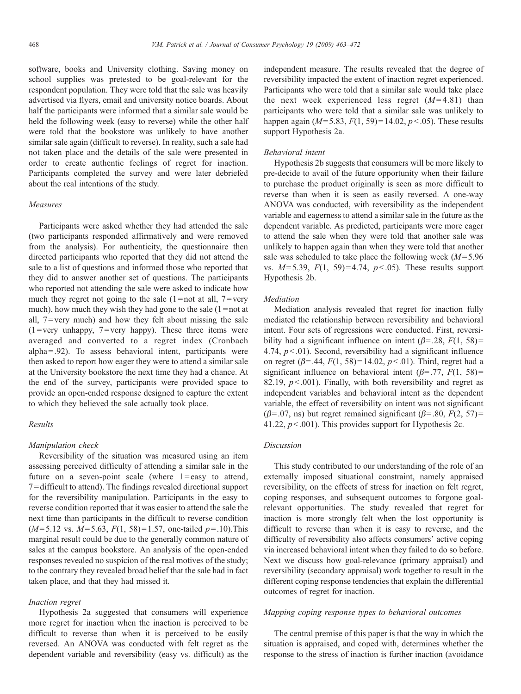software, books and University clothing. Saving money on school supplies was pretested to be goal-relevant for the respondent population. They were told that the sale was heavily advertised via flyers, email and university notice boards. About half the participants were informed that a similar sale would be held the following week (easy to reverse) while the other half were told that the bookstore was unlikely to have another similar sale again (difficult to reverse). In reality, such a sale had not taken place and the details of the sale were presented in order to create authentic feelings of regret for inaction. Participants completed the survey and were later debriefed about the real intentions of the study.

## Measures

Participants were asked whether they had attended the sale (two participants responded affirmatively and were removed from the analysis). For authenticity, the questionnaire then directed participants who reported that they did not attend the sale to a list of questions and informed those who reported that they did to answer another set of questions. The participants who reported not attending the sale were asked to indicate how much they regret not going to the sale  $(1 = not at all, 7 = very$ much), how much they wish they had gone to the sale  $(1 = not$  at all,  $7 = \text{very much}$  and how they felt about missing the sale  $(1 = \text{very unhappy}, 7 = \text{very happy})$ . These three items were averaged and converted to a regret index (Cronbach alpha $=$ .92). To assess behavioral intent, participants were then asked to report how eager they were to attend a similar sale at the University bookstore the next time they had a chance. At the end of the survey, participants were provided space to provide an open-ended response designed to capture the extent to which they believed the sale actually took place.

## Results

#### Manipulation check

Reversibility of the situation was measured using an item assessing perceived difficulty of attending a similar sale in the future on a seven-point scale (where  $1 = \text{easy}$  to attend, 7 = difficult to attend). The findings revealed directional support for the reversibility manipulation. Participants in the easy to reverse condition reported that it was easier to attend the sale the next time than participants in the difficult to reverse condition  $(M= 5.12 \text{ vs. } M= 5.63, F(1, 58)=1.57, \text{ one-tailed } p=.10).$  This marginal result could be due to the generally common nature of sales at the campus bookstore. An analysis of the open-ended responses revealed no suspicion of the real motives of the study; to the contrary they revealed broad belief that the sale had in fact taken place, and that they had missed it.

## Inaction regret

Hypothesis 2a suggested that consumers will experience more regret for inaction when the inaction is perceived to be difficult to reverse than when it is perceived to be easily reversed. An ANOVA was conducted with felt regret as the dependent variable and reversibility (easy vs. difficult) as the independent measure. The results revealed that the degree of reversibility impacted the extent of inaction regret experienced. Participants who were told that a similar sale would take place the next week experienced less regret  $(M=4.81)$  than participants who were told that a similar sale was unlikely to happen again ( $M=5.83$ ,  $F(1, 59)=14.02$ ,  $p<.05$ ). These results support Hypothesis 2a.

## Behavioral intent

Hypothesis 2b suggests that consumers will be more likely to pre-decide to avail of the future opportunity when their failure to purchase the product originally is seen as more difficult to reverse than when it is seen as easily reversed. A one-way ANOVA was conducted, with reversibility as the independent variable and eagerness to attend a similar sale in the future as the dependent variable. As predicted, participants were more eager to attend the sale when they were told that another sale was unlikely to happen again than when they were told that another sale was scheduled to take place the following week  $(M=5.96$ vs.  $M=5.39$ ,  $F(1, 59)=4.74$ ,  $p<.05$ ). These results support Hypothesis 2b.

#### Mediation

Mediation analysis revealed that regret for inaction fully mediated the relationship between reversibility and behavioral intent. Four sets of regressions were conducted. First, reversibility had a significant influence on intent  $(\beta = .28, F(1, 58))$  = 4.74,  $p<01$ ). Second, reversibility had a significant influence on regret ( $\beta$ =.44,  $F(1, 58)$ =14.02,  $p<0.01$ ). Third, regret had a significant influence on behavioral intent ( $\beta$ =.77,  $F(1, 58)$ )= 82.19,  $p<.001$ ). Finally, with both reversibility and regret as independent variables and behavioral intent as the dependent variable, the effect of reversibility on intent was not significant ( $\beta$ =.07, ns) but regret remained significant ( $\beta$ =.80,  $F(2, 57)$ = 41.22,  $p<.001$ ). This provides support for Hypothesis 2c.

#### Discussion

This study contributed to our understanding of the role of an externally imposed situational constraint, namely appraised reversibility, on the effects of stress for inaction on felt regret, coping responses, and subsequent outcomes to forgone goalrelevant opportunities. The study revealed that regret for inaction is more strongly felt when the lost opportunity is difficult to reverse than when it is easy to reverse, and the difficulty of reversibility also affects consumers' active coping via increased behavioral intent when they failed to do so before. Next we discuss how goal-relevance (primary appraisal) and reversibility (secondary appraisal) work together to result in the different coping response tendencies that explain the differential outcomes of regret for inaction.

#### Mapping coping response types to behavioral outcomes

The central premise of this paper is that the way in which the situation is appraised, and coped with, determines whether the response to the stress of inaction is further inaction (avoidance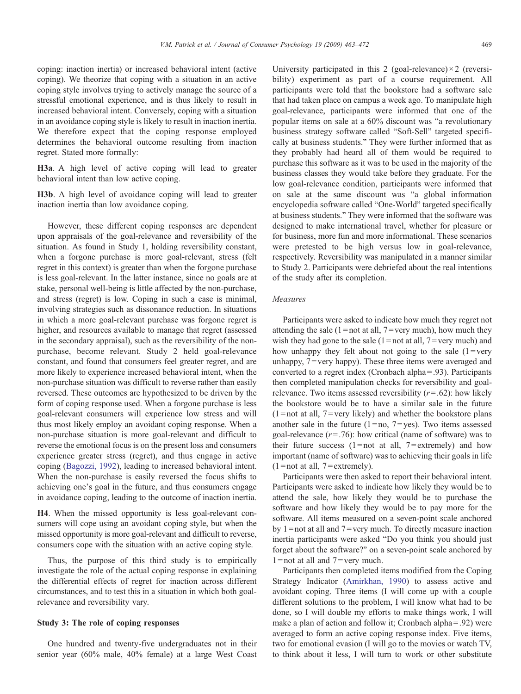coping: inaction inertia) or increased behavioral intent (active coping). We theorize that coping with a situation in an active coping style involves trying to actively manage the source of a stressful emotional experience, and is thus likely to result in increased behavioral intent. Conversely, coping with a situation in an avoidance coping style is likely to result in inaction inertia. We therefore expect that the coping response employed determines the behavioral outcome resulting from inaction regret. Stated more formally:

H3a. A high level of active coping will lead to greater behavioral intent than low active coping.

H3b. A high level of avoidance coping will lead to greater inaction inertia than low avoidance coping.

However, these different coping responses are dependent upon appraisals of the goal-relevance and reversibility of the situation. As found in Study 1, holding reversibility constant, when a forgone purchase is more goal-relevant, stress (felt regret in this context) is greater than when the forgone purchase is less goal-relevant. In the latter instance, since no goals are at stake, personal well-being is little affected by the non-purchase, and stress (regret) is low. Coping in such a case is minimal, involving strategies such as dissonance reduction. In situations in which a more goal-relevant purchase was forgone regret is higher, and resources available to manage that regret (assessed in the secondary appraisal), such as the reversibility of the nonpurchase, become relevant. Study 2 held goal-relevance constant, and found that consumers feel greater regret, and are more likely to experience increased behavioral intent, when the non-purchase situation was difficult to reverse rather than easily reversed. These outcomes are hypothesized to be driven by the form of coping response used. When a forgone purchase is less goal-relevant consumers will experience low stress and will thus most likely employ an avoidant coping response. When a non-purchase situation is more goal-relevant and difficult to reverse the emotional focus is on the present loss and consumers experience greater stress (regret), and thus engage in active coping ([Bagozzi, 1992](#page-9-0)), leading to increased behavioral intent. When the non-purchase is easily reversed the focus shifts to achieving one's goal in the future, and thus consumers engage in avoidance coping, leading to the outcome of inaction inertia.

H4. When the missed opportunity is less goal-relevant consumers will cope using an avoidant coping style, but when the missed opportunity is more goal-relevant and difficult to reverse, consumers cope with the situation with an active coping style.

Thus, the purpose of this third study is to empirically investigate the role of the actual coping response in explaining the differential effects of regret for inaction across different circumstances, and to test this in a situation in which both goalrelevance and reversibility vary.

# Study 3: The role of coping responses

One hundred and twenty-five undergraduates not in their senior year (60% male, 40% female) at a large West Coast

University participated in this 2 (goal-relevance) $\times$ 2 (reversibility) experiment as part of a course requirement. All participants were told that the bookstore had a software sale that had taken place on campus a week ago. To manipulate high goal-relevance, participants were informed that one of the popular items on sale at a 60% discount was "a revolutionary business strategy software called "Soft-Sell" targeted specifically at business students." They were further informed that as they probably had heard all of them would be required to purchase this software as it was to be used in the majority of the business classes they would take before they graduate. For the low goal-relevance condition, participants were informed that on sale at the same discount was "a global information encyclopedia software called "One-World" targeted specifically at business students." They were informed that the software was designed to make international travel, whether for pleasure or for business, more fun and more informational. These scenarios were pretested to be high versus low in goal-relevance, respectively. Reversibility was manipulated in a manner similar to Study 2. Participants were debriefed about the real intentions of the study after its completion.

## Measures

Participants were asked to indicate how much they regret not attending the sale (1=not at all, 7=very much), how much they wish they had gone to the sale  $(1 = not at all, 7 = very much)$  and how unhappy they felt about not going to the sale  $(1 = \text{very})$ unhappy, 7=very happy). These three items were averaged and converted to a regret index (Cronbach alpha  $= .93$ ). Participants then completed manipulation checks for reversibility and goalrelevance. Two items assessed reversibility  $(r=.62)$ : how likely the bookstore would be to have a similar sale in the future  $(1 = not at all, 7 = very likely)$  and whether the bookstore plans another sale in the future  $(1 = no, 7 = yes)$ . Two items assessed goal-relevance  $(r=.76)$ : how critical (name of software) was to their future success  $(1 = not at all, 7 = extremely)$  and how important (name of software) was to achieving their goals in life  $(1 = not at all, 7 = extremely).$ 

Participants were then asked to report their behavioral intent. Participants were asked to indicate how likely they would be to attend the sale, how likely they would be to purchase the software and how likely they would be to pay more for the software. All items measured on a seven-point scale anchored by  $1 =$  not at all and  $7 =$  very much. To directly measure inaction inertia participants were asked "Do you think you should just forget about the software?" on a seven-point scale anchored by  $1 =$ not at all and  $7 =$ very much.

Participants then completed items modified from the Coping Strategy Indicator ([Amirkhan, 1990\)](#page-9-0) to assess active and avoidant coping. Three items (I will come up with a couple different solutions to the problem, I will know what had to be done, so I will double my efforts to make things work, I will make a plan of action and follow it; Cronbach alpha  $=$  .92) were averaged to form an active coping response index. Five items, two for emotional evasion (I will go to the movies or watch TV, to think about it less, I will turn to work or other substitute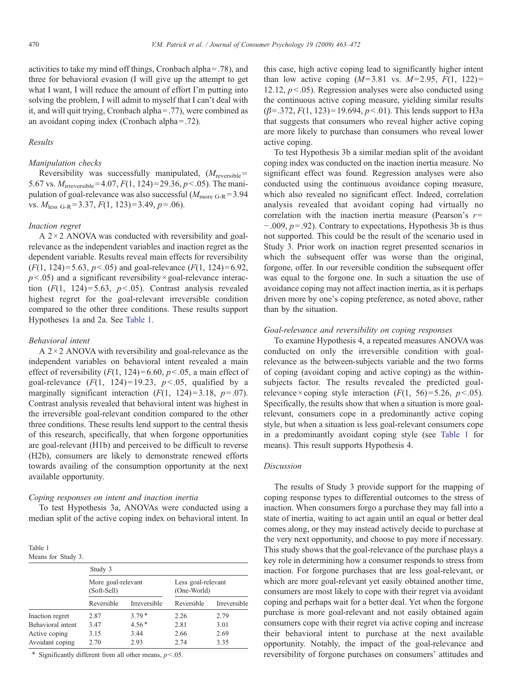activities to take my mind off things, Cronbach alpha  $=$  .78), and three for behavioral evasion (I will give up the attempt to get what I want. I will reduce the amount of effort I'm putting into solving the problem, I will admit to myself that I can't deal with it, and will quit trying, Cronbach alpha =.77), were combined as an avoidant coping index (Cronbach alpha  $=$  .72).

## Results

# Manipulation checks

Reversibility was successfully manipulated,  $(M_{\text{reversible}} =$ 5.67 vs.  $M_{irreversible} = 4.07, F(1, 124) = 29.36, p < .05$ ). The manipulation of goal-relevance was also successful ( $M_{\text{more G-R}}$ =3.94 vs.  $M_{\text{less G-R}}$  = 3.37,  $F(1, 123)$  = 3.49,  $p$  = .06).

#### Inaction regret

A  $2 \times 2$  ANOVA was conducted with reversibility and goalrelevance as the independent variables and inaction regret as the dependent variable. Results reveal main effects for reversibility  $(F(1, 124) = 5.63, p < .05)$  and goal-relevance  $(F(1, 124) = 6.92,$  $p<0.05$ ) and a significant reversibility × goal-relevance interaction  $(F(1, 124)=5.63, p<0.65)$ . Contrast analysis revealed highest regret for the goal-relevant irreversible condition compared to the other three conditions. These results support Hypotheses 1a and 2a. See Table 1.

#### Behavioral intent

A  $2 \times 2$  ANOVA with reversibility and goal-relevance as the independent variables on behavioral intent revealed a main effect of reversibility  $(F(1, 124)=6.60, p<0.5,$  a main effect of goal-relevance  $(F(1, 124)=19.23, p<0.05,$  qualified by a marginally significant interaction  $(F(1, 124)=3.18, p=.07)$ . Contrast analysis revealed that behavioral intent was highest in the irreversible goal-relevant condition compared to the other three conditions. These results lend support to the central thesis of this research, specifically, that when forgone opportunities are goal-relevant (H1b) and perceived to be difficult to reverse (H2b), consumers are likely to demonstrate renewed efforts towards availing of the consumption opportunity at the next available opportunity.

## Coping responses on intent and inaction inertia

To test Hypothesis 3a, ANOVAs were conducted using a median split of the active coping index on behavioral intent. In

| Table 1            |  |
|--------------------|--|
| Means for Study 3. |  |

|                   | Study 3                           |              |                                   |              |
|-------------------|-----------------------------------|--------------|-----------------------------------|--------------|
|                   | More goal-relevant<br>(Soft-Sell) |              | Less goal-relevant<br>(One-World) |              |
|                   | Reversible                        | Irreversible | Reversible                        | Irreversible |
| Inaction regret   | 2.87                              | $3.79*$      | 2.26                              | 2.79         |
| Behavioral intent | 3.47                              | $4.56*$      | 2.81                              | 3.01         |
| Active coping     | 3.15                              | 3.44         | 2.66                              | 2.69         |
| Avoidant coping   | 2.70                              | 2.93         | 2.74                              | 3.35         |
|                   |                                   |              |                                   |              |

\* Significantly different from all other means,  $p$ <.05.

this case, high active coping lead to significantly higher intent than low active coping  $(M=3.81 \text{ vs. } M=2.95, F(1, 122)=$ 12.12,  $p < 0.05$ ). Regression analyses were also conducted using the continuous active coping measure, yielding similar results  $(\beta = .372, F(1, 123) = 19.694, p<.01)$ . This lends support to H3a that suggests that consumers who reveal higher active coping are more likely to purchase than consumers who reveal lower active coping.

To test Hypothesis 3b a similar median split of the avoidant coping index was conducted on the inaction inertia measure. No significant effect was found. Regression analyses were also conducted using the continuous avoidance coping measure, which also revealed no significant effect. Indeed, correlation analysis revealed that avoidant coping had virtually no correlation with the inaction inertia measure (Pearson's  $r=$ −.009, p=.92). Contrary to expectations, Hypothesis 3b is thus not supported. This could be the result of the scenario used in Study 3. Prior work on inaction regret presented scenarios in which the subsequent offer was worse than the original, forgone, offer. In our reversible condition the subsequent offer was equal to the forgone one. In such a situation the use of avoidance coping may not affect inaction inertia, as it is perhaps driven more by one's coping preference, as noted above, rather than by the situation.

#### Goal-relevance and reversibility on coping responses

To examine Hypothesis 4, a repeated measures ANOVA was conducted on only the irreversible condition with goalrelevance as the between-subjects variable and the two forms of coping (avoidant coping and active coping) as the withinsubjects factor. The results revealed the predicted goalrelevance  $\times$  coping style interaction ( $F(1, 56) = 5.26, p < 0.05$ ). Specifically, the results show that when a situation is more goalrelevant, consumers cope in a predominantly active coping style, but when a situation is less goal-relevant consumers cope in a predominantly avoidant coping style (see Table 1 for means). This result supports Hypothesis 4.

#### Discussion

The results of Study 3 provide support for the mapping of coping response types to differential outcomes to the stress of inaction. When consumers forgo a purchase they may fall into a state of inertia, waiting to act again until an equal or better deal comes along, or they may instead actively decide to purchase at the very next opportunity, and choose to pay more if necessary. This study shows that the goal-relevance of the purchase plays a key role in determining how a consumer responds to stress from inaction. For forgone purchases that are less goal-relevant, or which are more goal-relevant yet easily obtained another time, consumers are most likely to cope with their regret via avoidant coping and perhaps wait for a better deal. Yet when the forgone purchase is more goal-relevant and not easily obtained again consumers cope with their regret via active coping and increase their behavioral intent to purchase at the next available opportunity. Notably, the impact of the goal-relevance and reversibility of forgone purchases on consumers' attitudes and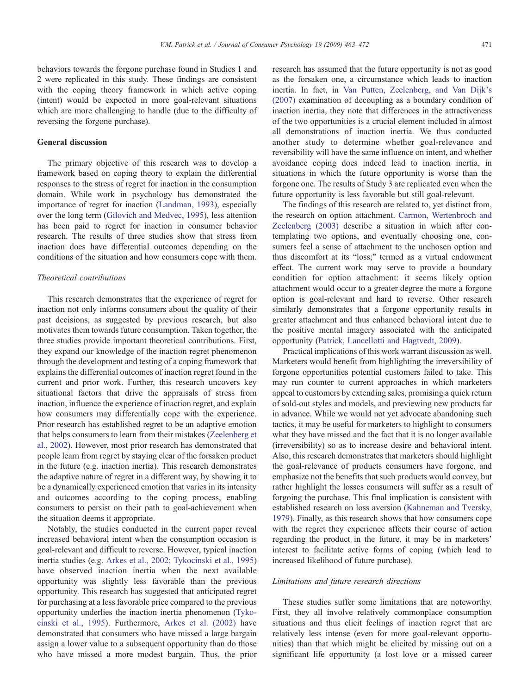behaviors towards the forgone purchase found in Studies 1 and 2 were replicated in this study. These findings are consistent with the coping theory framework in which active coping (intent) would be expected in more goal-relevant situations which are more challenging to handle (due to the difficulty of reversing the forgone purchase).

# General discussion

The primary objective of this research was to develop a framework based on coping theory to explain the differential responses to the stress of regret for inaction in the consumption domain. While work in psychology has demonstrated the importance of regret for inaction ([Landman, 1993](#page-9-0)), especially over the long term ([Gilovich and Medvec, 1995](#page-9-0)), less attention has been paid to regret for inaction in consumer behavior research. The results of three studies show that stress from inaction does have differential outcomes depending on the conditions of the situation and how consumers cope with them.

## Theoretical contributions

This research demonstrates that the experience of regret for inaction not only informs consumers about the quality of their past decisions, as suggested by previous research, but also motivates them towards future consumption. Taken together, the three studies provide important theoretical contributions. First, they expand our knowledge of the inaction regret phenomenon through the development and testing of a coping framework that explains the differential outcomes of inaction regret found in the current and prior work. Further, this research uncovers key situational factors that drive the appraisals of stress from inaction, influence the experience of inaction regret, and explain how consumers may differentially cope with the experience. Prior research has established regret to be an adaptive emotion that helps consumers to learn from their mistakes [\(Zeelenberg et](#page-9-0) [al., 2002](#page-9-0)). However, most prior research has demonstrated that people learn from regret by staying clear of the forsaken product in the future (e.g. inaction inertia). This research demonstrates the adaptive nature of regret in a different way, by showing it to be a dynamically experienced emotion that varies in its intensity and outcomes according to the coping process, enabling consumers to persist on their path to goal-achievement when the situation deems it appropriate.

Notably, the studies conducted in the current paper reveal increased behavioral intent when the consumption occasion is goal-relevant and difficult to reverse. However, typical inaction inertia studies (e.g. [Arkes et al., 2002; Tykocinski et al., 1995](#page-9-0)) have observed inaction inertia when the next available opportunity was slightly less favorable than the previous opportunity. This research has suggested that anticipated regret for purchasing at a less favorable price compared to the previous opportunity underlies the inaction inertia phenomenon ([Tyko](#page-9-0)[cinski et al., 1995](#page-9-0)). Furthermore, [Arkes et al. \(2002\)](#page-9-0) have demonstrated that consumers who have missed a large bargain assign a lower value to a subsequent opportunity than do those who have missed a more modest bargain. Thus, the prior

research has assumed that the future opportunity is not as good as the forsaken one, a circumstance which leads to inaction inertia. In fact, in [Van Putten, Zeelenberg, and Van Dijk's](#page-9-0) [\(2007\)](#page-9-0) examination of decoupling as a boundary condition of inaction inertia, they note that differences in the attractiveness of the two opportunities is a crucial element included in almost all demonstrations of inaction inertia. We thus conducted another study to determine whether goal-relevance and reversibility will have the same influence on intent, and whether avoidance coping does indeed lead to inaction inertia, in situations in which the future opportunity is worse than the forgone one. The results of Study 3 are replicated even when the future opportunity is less favorable but still goal-relevant.

The findings of this research are related to, yet distinct from, the research on option attachment. [Carmon, Wertenbroch and](#page-9-0) [Zeelenberg \(2003\)](#page-9-0) describe a situation in which after contemplating two options, and eventually choosing one, consumers feel a sense of attachment to the unchosen option and thus discomfort at its "loss;" termed as a virtual endowment effect. The current work may serve to provide a boundary condition for option attachment: it seems likely option attachment would occur to a greater degree the more a forgone option is goal-relevant and hard to reverse. Other research similarly demonstrates that a forgone opportunity results in greater attachment and thus enhanced behavioral intent due to the positive mental imagery associated with the anticipated opportunity [\(Patrick, Lancellotti and Hagtvedt, 2009](#page-9-0)).

Practical implications of this work warrant discussion as well. Marketers would benefit from highlighting the irreversibility of forgone opportunities potential customers failed to take. This may run counter to current approaches in which marketers appeal to customers by extending sales, promising a quick return of sold-out styles and models, and previewing new products far in advance. While we would not yet advocate abandoning such tactics, it may be useful for marketers to highlight to consumers what they have missed and the fact that it is no longer available (irreversibility) so as to increase desire and behavioral intent. Also, this research demonstrates that marketers should highlight the goal-relevance of products consumers have forgone, and emphasize not the benefits that such products would convey, but rather highlight the losses consumers will suffer as a result of forgoing the purchase. This final implication is consistent with established research on loss aversion [\(Kahneman and Tversky,](#page-9-0) [1979](#page-9-0)). Finally, as this research shows that how consumers cope with the regret they experience affects their course of action regarding the product in the future, it may be in marketers' interest to facilitate active forms of coping (which lead to increased likelihood of future purchase).

## Limitations and future research directions

These studies suffer some limitations that are noteworthy. First, they all involve relatively commonplace consumption situations and thus elicit feelings of inaction regret that are relatively less intense (even for more goal-relevant opportunities) than that which might be elicited by missing out on a significant life opportunity (a lost love or a missed career